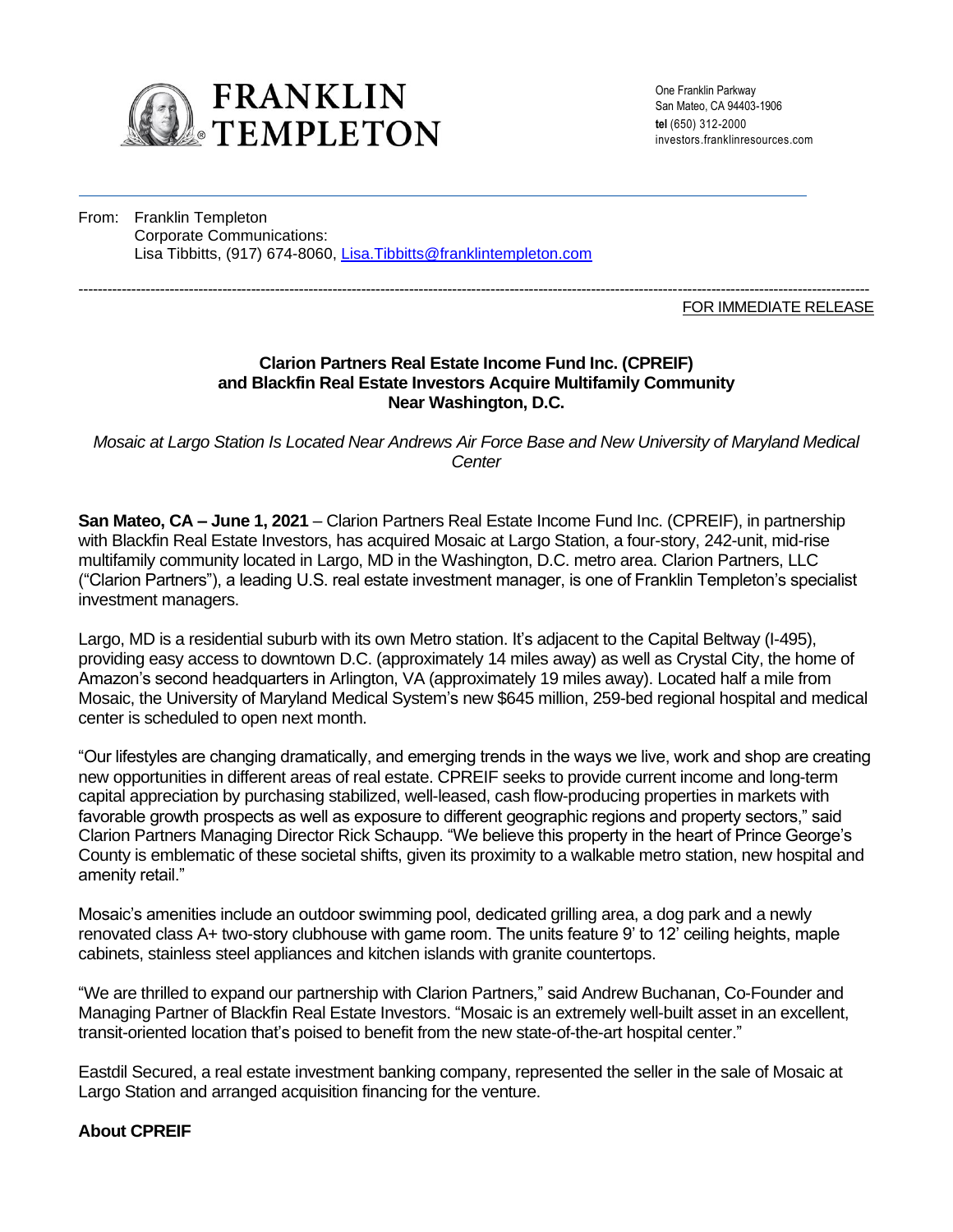

One Franklin Parkway San Mateo, CA 94403-1906 **tel** (650) 312-2000 investors.franklinresources.com

From: Franklin Templeton Corporate Communications: Lisa Tibbitts, (917) 674-8060, Lisa.Tibbitts@franklintempleton.com

#### --------------------------------------------------------------------------------------------------------------------------------------------------------------------- FOR IMMEDIATE RELEASE

### **Clarion Partners Real Estate Income Fund Inc. (CPREIF) and Blackfin Real Estate Investors Acquire Multifamily Community Near Washington, D.C.**

*Mosaic at Largo Station Is Located Near Andrews Air Force Base and New University of Maryland Medical Center*

**San Mateo, CA – June 1, 2021** – Clarion Partners Real Estate Income Fund Inc. (CPREIF), in partnership with Blackfin Real Estate Investors, has acquired Mosaic at Largo Station, a four-story, 242-unit, mid-rise multifamily community located in Largo, MD in the Washington, D.C. metro area. Clarion Partners, LLC ("Clarion Partners"), a leading U.S. real estate investment manager, is one of Franklin Templeton's specialist investment managers.

Largo, MD is a residential suburb with its own Metro station. It's adjacent to the Capital Beltway (I-495), providing easy access to downtown D.C. (approximately 14 miles away) as well as Crystal City, the home of Amazon's second headquarters in Arlington, VA (approximately 19 miles away). Located half a mile from Mosaic, the University of Maryland Medical System's new \$645 million, 259-bed regional hospital and medical center is scheduled to open next month.

"Our lifestyles are changing dramatically, and emerging trends in the ways we live, work and shop are creating new opportunities in different areas of real estate. CPREIF seeks to provide current income and long-term capital appreciation by purchasing stabilized, well-leased, cash flow-producing properties in markets with favorable growth prospects as well as exposure to different geographic regions and property sectors," said Clarion Partners Managing Director Rick Schaupp. "We believe this property in the heart of Prince George's County is emblematic of these societal shifts, given its proximity to a walkable metro station, new hospital and amenity retail."

Mosaic's amenities include an outdoor swimming pool, dedicated grilling area, a dog park and a newly renovated class A+ two-story clubhouse with game room. The units feature 9' to 12' ceiling heights, maple cabinets, stainless steel appliances and kitchen islands with granite countertops.

"We are thrilled to expand our partnership with Clarion Partners," said Andrew Buchanan, Co-Founder and Managing Partner of Blackfin Real Estate Investors. "Mosaic is an extremely well-built asset in an excellent, transit-oriented location that's poised to benefit from the new state-of-the-art hospital center."

Eastdil Secured, a real estate investment banking company, represented the seller in the sale of Mosaic at Largo Station and arranged acquisition financing for the venture.

#### **About CPREIF**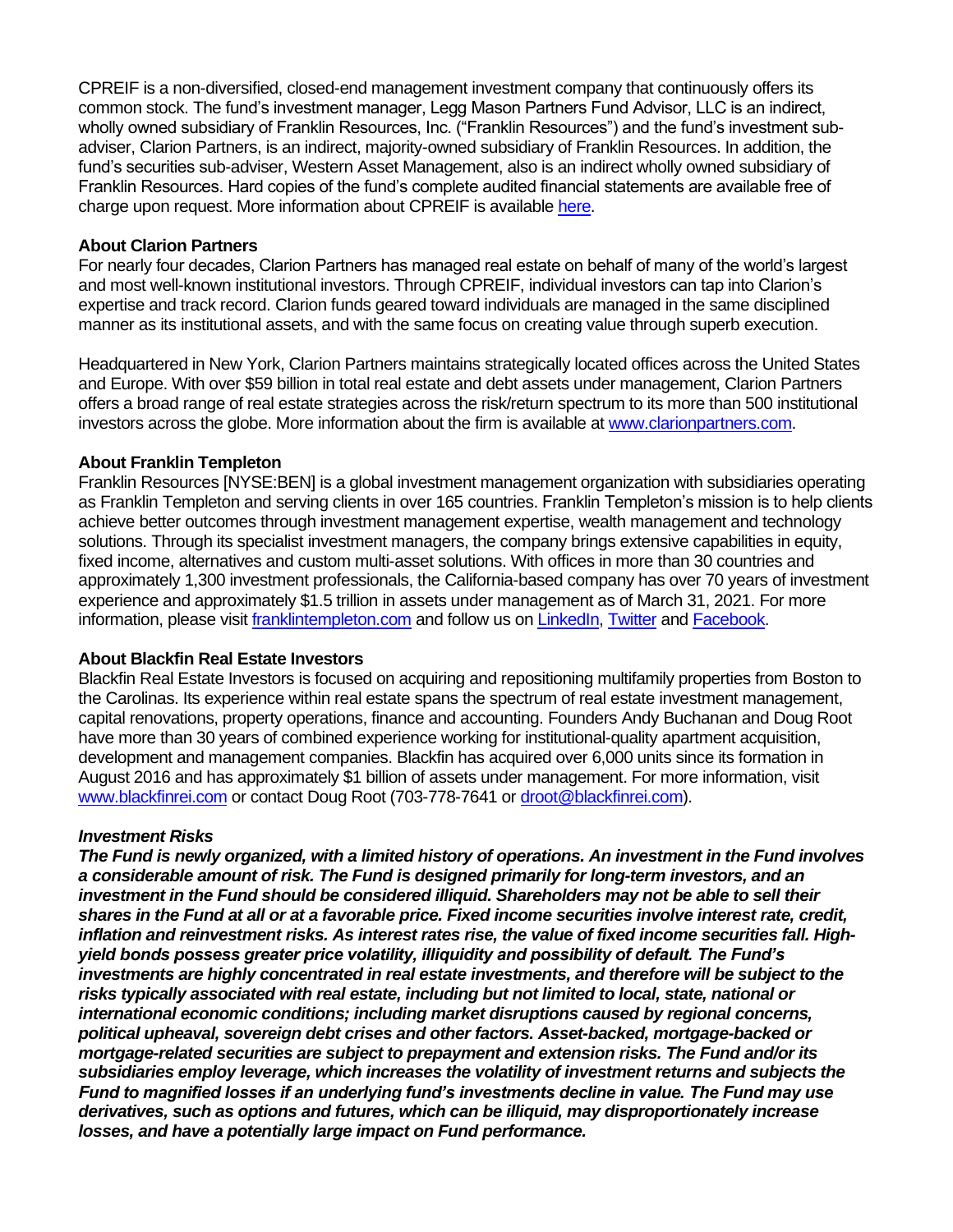CPREIF is a non-diversified, closed-end management investment company that continuously offers its common stock. The fund's investment manager, Legg Mason Partners Fund Advisor, LLC is an indirect, wholly owned subsidiary of Franklin Resources, Inc. ("Franklin Resources") and the fund's investment subadviser, Clarion Partners, is an indirect, majority-owned subsidiary of Franklin Resources. In addition, the fund's securities sub-adviser, Western Asset Management, also is an indirect wholly owned subsidiary of Franklin Resources. Hard copies of the fund's complete audited financial statements are available free of charge upon request. More information about CPREIF is availabl[e here.](https://www.cpreif.com/)

## **About Clarion Partners**

For nearly four decades, Clarion Partners has managed real estate on behalf of many of the world's largest and most well-known institutional investors. Through CPREIF, individual investors can tap into Clarion's expertise and track record. Clarion funds geared toward individuals are managed in the same disciplined manner as its institutional assets, and with the same focus on creating value through superb execution.

Headquartered in New York, Clarion Partners maintains strategically located offices across the United States and Europe. With over \$59 billion in total real estate and debt assets under management, Clarion Partners offers a broad range of real estate strategies across the risk/return spectrum to its more than 500 institutional investors across the globe. More information about the firm is available at [www.clarionpartners.com.](http://www.clarionpartners.com/)

## **About Franklin Templeton**

Franklin Resources [NYSE:BEN] is a global investment management organization with subsidiaries operating as Franklin Templeton and serving clients in over 165 countries. Franklin Templeton's mission is to help clients achieve better outcomes through investment management expertise, wealth management and technology solutions. Through its specialist investment managers, the company brings extensive capabilities in equity, fixed income, alternatives and custom multi-asset solutions. With offices in more than 30 countries and approximately 1,300 investment professionals, the California-based company has over 70 years of investment experience and approximately \$1.5 trillion in assets under management as of March 31, 2021. For more information, please visit franklintempleton.com and follow us o[n LinkedIn,](https://www.linkedin.com/company/franklin-templeton/mycompany/verification/) [Twitter](https://twitter.com/FTI_US) and [Facebook.](https://www.facebook.com/franklintempleton/)

# **About Blackfin Real Estate Investors**

Blackfin Real Estate Investors is focused on acquiring and repositioning multifamily properties from Boston to the Carolinas. Its experience within real estate spans the spectrum of real estate investment management, capital renovations, property operations, finance and accounting. Founders Andy Buchanan and Doug Root have more than 30 years of combined experience working for institutional-quality apartment acquisition, development and management companies. Blackfin has acquired over 6,000 units since its formation in August 2016 and has approximately \$1 billion of assets under management. For more information, visit [www.blackfinrei.com](http://www.blackfinrei.com/) or contact Doug Root (703-778-7641 or [droot@blackfinrei.com\)](mailto:droot@blackfinrei.com).

#### *Investment Risks*

*The Fund is newly organized, with a limited history of operations. An investment in the Fund involves a considerable amount of risk. The Fund is designed primarily for long-term investors, and an investment in the Fund should be considered illiquid. Shareholders may not be able to sell their shares in the Fund at all or at a favorable price. Fixed income securities involve interest rate, credit, inflation and reinvestment risks. As interest rates rise, the value of fixed income securities fall. Highyield bonds possess greater price volatility, illiquidity and possibility of default. The Fund's investments are highly concentrated in real estate investments, and therefore will be subject to the risks typically associated with real estate, including but not limited to local, state, national or international economic conditions; including market disruptions caused by regional concerns, political upheaval, sovereign debt crises and other factors. Asset-backed, mortgage-backed or mortgage-related securities are subject to prepayment and extension risks. The Fund and/or its subsidiaries employ leverage, which increases the volatility of investment returns and subjects the Fund to magnified losses if an underlying fund's investments decline in value. The Fund may use derivatives, such as options and futures, which can be illiquid, may disproportionately increase losses, and have a potentially large impact on Fund performance.*